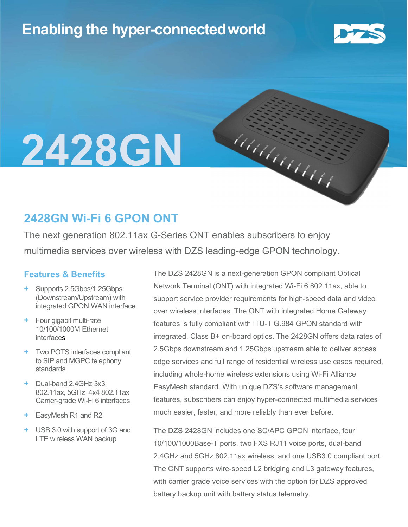## Enabling the hyper-connectedworld



# 2428GN

### 2428GN Wi-Fi 6 GPON ONT

The next generation 802.11ax G-Series ONT enables subscribers to enjoy multimedia services over wireless with DZS leading-edge GPON technology.

#### Features & Benefits

- + Supports 2.5Gbps/1.25Gbps (Downstream/Upstream) with integrated GPON WAN interface
- + Four gigabit multi-rate 10/100/1000M Ethernet interfaces
- + Two POTS interfaces compliant to SIP and MGPC telephony standards
- + Dual-band 2.4GHz 3x3 802.11ax, 5GHz 4x4 802.11ax Carrier-grade Wi-Fi 6 interfaces
- + EasyMesh R1 and R2
- + USB 3.0 with support of 3G and LTE wireless WAN backup

The DZS 2428GN is a next-generation GPON compliant Optical Network Terminal (ONT) with integrated Wi-Fi 6 802.11ax, able to support service provider requirements for high-speed data and video over wireless interfaces. The ONT with integrated Home Gateway features is fully compliant with ITU-T G.984 GPON standard with integrated, Class B+ on-board optics. The 2428GN offers data rates of 2.5Gbps downstream and 1.25Gbps upstream able to deliver access edge services and full range of residential wireless use cases required, including whole-home wireless extensions using Wi-Fi Alliance EasyMesh standard. With unique DZS's software management features, subscribers can enjoy hyper-connected multimedia services much easier, faster, and more reliably than ever before.

haanaan

The DZS 2428GN includes one SC/APC GPON interface, four 10/100/1000Base-T ports, two FXS RJ11 voice ports, dual-band 2.4GHz and 5GHz 802.11ax wireless, and one USB3.0 compliant port. The ONT supports wire-speed L2 bridging and L3 gateway features, with carrier grade voice services with the option for DZS approved battery backup unit with battery status telemetry.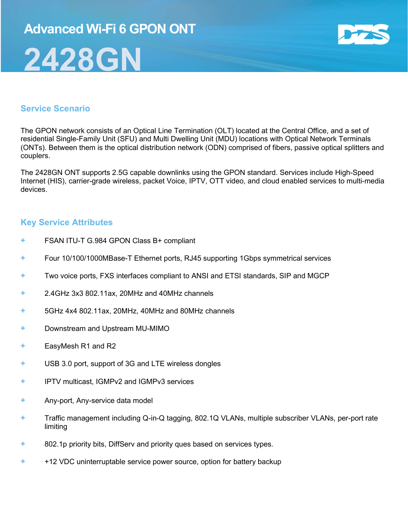## Advanced Wi-Fi 6 GPON ONT 2428GN



#### Service Scenario

The GPON network consists of an Optical Line Termination (OLT) located at the Central Office, and a set of residential Single-Family Unit (SFU) and Multi Dwelling Unit (MDU) locations with Optical Network Terminals (ONTs). Between them is the optical distribution network (ODN) comprised of fibers, passive optical splitters and couplers.

The 2428GN ONT supports 2.5G capable downlinks using the GPON standard. Services include High-Speed Internet (HIS), carrier-grade wireless, packet Voice, IPTV, OTT video, and cloud enabled services to multi-media devices.

#### Key Service Attributes

- + FSAN ITU-T G.984 GPON Class B+ compliant
- + Four 10/100/1000MBase-T Ethernet ports, RJ45 supporting 1Gbps symmetrical services
- + Two voice ports, FXS interfaces compliant to ANSI and ETSI standards, SIP and MGCP
- + 2.4GHz 3x3 802.11ax, 20MHz and 40MHz channels
- + 5GHz 4x4 802.11ax, 20MHz, 40MHz and 80MHz channels
- + Downstream and Upstream MU-MIMO
- + EasyMesh R1 and R2
- + USB 3.0 port, support of 3G and LTE wireless dongles
- + IPTV multicast, IGMPv2 and IGMPv3 services
- + Any-port, Any-service data model
- + Traffic management including Q-in-Q tagging, 802.1Q VLANs, multiple subscriber VLANs, per-port rate limiting
- + 802.1p priority bits, DiffServ and priority ques based on services types.
- + +12 VDC uninterruptable service power source, option for battery backup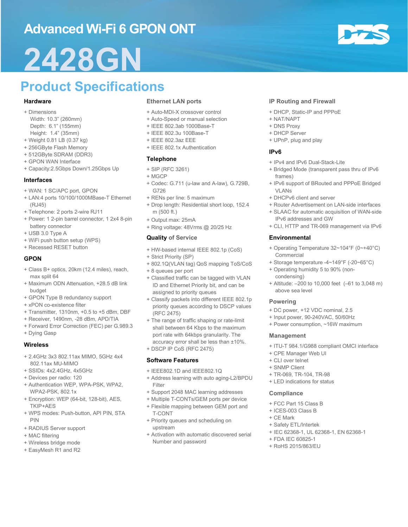## Advanced Wi-Fi 6 GPON ONT

## 2428GN

## Product Specifications

#### Hardware

- + Dimensions
- Width: 10.3" (260mm) Depth: 6.1" (155mm) Height: 1.4" (35mm)
- + Weight 0.81 LB (0.37 kg)
- + 256GByte Flash Memory
- + 512GByte SDRAM (DDR3)
- + GPON WAN Interface
- + Capacity:2.5Gbps Down/1.25Gbps Up

#### Interfaces

- + WAN: 1 SC/APC port, GPON
- + LAN:4 ports 10/100/1000MBase-T Ethernet (RJ45)
- + Telephone: 2 ports 2-wire RJ11
- + Power: 1 2-pin barrel connector, 1 2x4 8-pin battery connector
- + USB 3.0 Type A
- + WiFi push button setup (WPS)
- + Recessed RESET button

#### GPON

- + Class B+ optics, 20km (12.4 miles), reach, max split 64
- + Maximum ODN Attenuation, +28.5 dB link budget
- + GPON Type B redundancy support
- + xPON co-existence filter
- + Transmitter, 1310nm, +0.5 to +5 dBm, DBF
- + Receiver, 1490nm, -28 dBm, APD/TIA
- + Forward Error Correction (FEC) per G.989.3
- + Dying Gasp

#### **Wireless**

- + 2.4GHz 3x3 802.11ax MIMO, 5GHz 4x4 802.11ax MU-MIMO
- + SSIDs: 4x2.4GHz, 4x5GHz
- + Devices per radio: 120
- + Authentication WEP, WPA-PSK, WPA2, WPA2-PSK, 802.1x
- + Encryption: WEP (64-bit, 128-bit), AES, TKIP+AES
- + WPS modes: Push-button, API PIN, STA PIN
- + RADIUS Server support
- + MAC filtering
- + Wireless bridge mode
- + EasyMesh R1 and R2

#### Ethernet LAN ports

- + Auto-MDI-X crossover control
- + Auto-Speed or manual selection
- + IEEE 802.3ab 1000Base-T
- + IEEE 802.3u 100Base-T
- + IEEE 802.3az EEE
- + IEEE 802.1x Authentication

#### Telephone

- + SIP (RFC 3261)
- + MGCP
- + Codec: G.711 (u-law and A-law), G.729B, G726
- + RENs per line: 5 maximum
- + Drop length: Residential short loop, 152.4 m (500 ft.)
- + Output max: 25mA
- + Ring voltage: 48Vrms @ 20/25 Hz
- Quality of Service
- + HW-based internal IEEE 802.1p (CoS)
- + Strict Priority (SP)
- + 802.1Q(VLAN tag) QoS mapping ToS/CoS
- + 8 queues per port
- + Classified traffic can be tagged with VLAN ID and Ethernet Priority bit, and can be assigned to priority queues
- + Classify packets into different IEEE 802.1p priority queues according to DSCP values (RFC 2475)
- + The range of traffic shaping or rate-limit shall between 64 Kbps to the maximum port rate with 64kbps granularity. The accuracy error shall be less than ±10%.
- + DSCP IP CoS (RFC 2475)

#### Software Features

- + IEEE802.1D and IEEE802.1Q
- + Address learning with auto aging-L2/BPDU Filter
- + Support 2048 MAC learning addresses
- + Multiple T-CONTs/GEM ports per device
- + Flexible mapping between GEM port and T-CONT
- + Priority queues and scheduling on upstream
- + Activation with automatic discovered serial Number and password

#### IP Routing and Firewall

- + DHCP, Static-IP and PPPoE
- + NAT/NAPT
- + DNS Proxy
- + DHCP Server
- + UPnP, plug and play

#### IPv6

- + IPv4 and IPv6 Dual-Stack-Lite
- + Bridged Mode (transparent pass thru of IPv6 frames)
- + IPv6 support of BRouted and PPPoE Bridged VI AN<sub>s</sub>
- + DHCPv6 client and server
- + Router Advertisement on LAN-side interfaces
- + SLAAC for automatic acquisition of WAN-side IPv6 addresses and GW
- + CLI, HTTP and TR-069 management via IPv6

#### **Environmental**

- + Operating Temperature 32~104°F (0~+40°C) **Commercial**
- + Storage temperature -4~149°F (-20~65°C)
- + Operating humidity 5 to 90% (noncondensing)
- + Altitude: –200 to 10,000 feet (–61 to 3,048 m) above sea level

#### Powering

- + DC power, +12 VDC nominal, 2.5
- + Input power, 90-240VAC, 50/60Hz
- + Power consumption, ~16W maximum

+ IEC 62368-1, UL 62368-1, EN 62368-1

#### Management

- + ITU-T 984.1/G988 compliant OMCI interface
- + CPE Manager Web UI
- + CLI over telnet
- + SNMP Client

**Compliance** 

+ TR-069, TR-104, TR-98 + LED indications for status

+ FCC Part 15 Class B + ICES-003 Class B + CE Mark

+ Safety ETL/Intertek

+ FDA IEC 60825-1 + RoHS 2015/863/EU